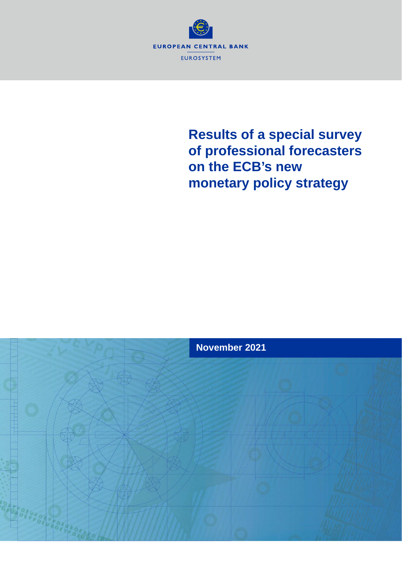

# **Results of a special survey of professional forecasters on the ECB's new monetary policy strategy**

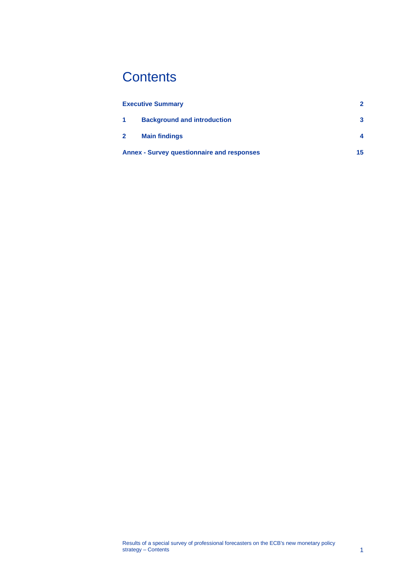# **Contents**

|                | <b>Executive Summary</b>                          | 2  |
|----------------|---------------------------------------------------|----|
| 1              | <b>Background and introduction</b>                | 3  |
| 2 <sup>1</sup> | <b>Main findings</b>                              |    |
|                | <b>Annex - Survey questionnaire and responses</b> | 15 |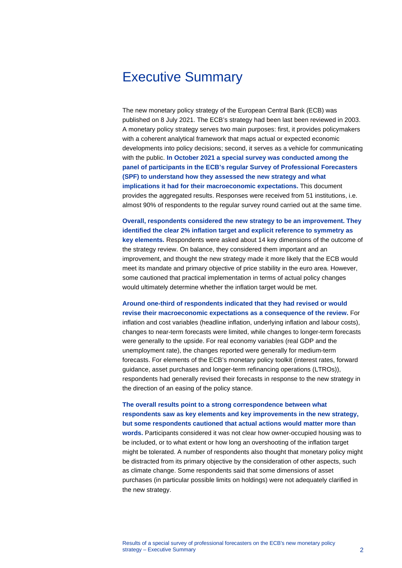## <span id="page-2-0"></span>Executive Summary

The new monetary policy strategy of the European Central Bank (ECB) was published on 8 July 2021. The ECB's strategy had been last been reviewed in 2003. A monetary policy strategy serves two main purposes: first, it provides policymakers with a coherent analytical framework that maps actual or expected economic developments into policy decisions; second, it serves as a vehicle for communicating with the public. **In October 2021 a special survey was conducted among the panel of participants in the ECB's regular Survey of Professional Forecasters (SPF) to understand how they assessed the new strategy and what implications it had for their macroeconomic expectations.** This document provides the aggregated results. Responses were received from 51 institutions, i.e. almost 90% of respondents to the regular survey round carried out at the same time.

**Overall, respondents considered the new strategy to be an improvement. They identified the clear 2% inflation target and explicit reference to symmetry as key elements.** Respondents were asked about 14 key dimensions of the outcome of the strategy review. On balance, they considered them important and an improvement, and thought the new strategy made it more likely that the ECB would meet its mandate and primary objective of price stability in the euro area. However, some cautioned that practical implementation in terms of actual policy changes would ultimately determine whether the inflation target would be met.

**Around one-third of respondents indicated that they had revised or would revise their macroeconomic expectations as a consequence of the review.** For inflation and cost variables (headline inflation, underlying inflation and labour costs), changes to near-term forecasts were limited, while changes to longer-term forecasts were generally to the upside. For real economy variables (real GDP and the unemployment rate), the changes reported were generally for medium-term forecasts. For elements of the ECB's monetary policy toolkit (interest rates, forward guidance, asset purchases and longer-term refinancing operations (LTROs)), respondents had generally revised their forecasts in response to the new strategy in the direction of an easing of the policy stance.

## **The overall results point to a strong correspondence between what respondents saw as key elements and key improvements in the new strategy, but some respondents cautioned that actual actions would matter more than**

**words.** Participants considered it was not clear how owner-occupied housing was to be included, or to what extent or how long an overshooting of the inflation target might be tolerated. A number of respondents also thought that monetary policy might be distracted from its primary objective by the consideration of other aspects, such as climate change. Some respondents said that some dimensions of asset purchases (in particular possible limits on holdings) were not adequately clarified in the new strategy.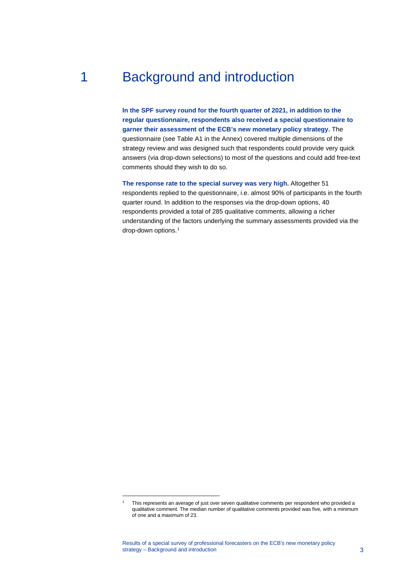## 1 Background and introduction

<span id="page-3-0"></span>**In the SPF survey round for the fourth quarter of 2021, in addition to the regular questionnaire, respondents also received a special questionnaire to garner their assessment of the ECB's new monetary policy strategy.** The questionnaire (see Table A1 in the Annex) covered multiple dimensions of the strategy review and was designed such that respondents could provide very quick answers (via drop-down selections) to most of the questions and could add free-text comments should they wish to do so.

**The response rate to the special survey was very high.** Altogether 51 respondents replied to the questionnaire, i.e. almost 90% of participants in the fourth quarter round. In addition to the responses via the drop-down options, 40 respondents provided a total of 285 qualitative comments, allowing a richer understanding of the factors underlying the summary assessments provided via the drop-down options.<sup>[1](#page-3-1)</sup>

<span id="page-3-1"></span><sup>1</sup> This represents an average of just over seven qualitative comments per respondent who provided a qualitative comment. The median number of qualitative comments provided was five, with a minimum of one and a maximum of 23.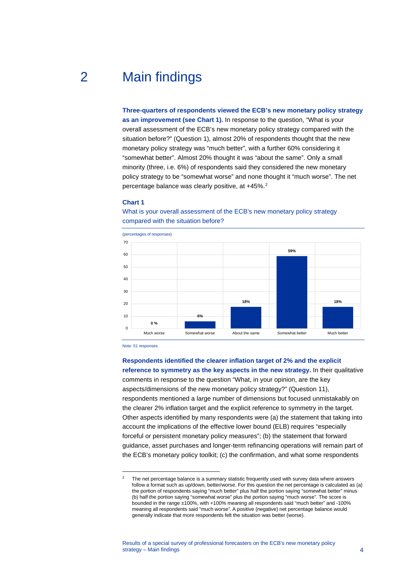## 2 Main findings

<span id="page-4-0"></span>**Three-quarters of respondents viewed the ECB's new monetary policy strategy as an improvement (see Chart 1).** In response to the question, "What is your overall assessment of the ECB's new monetary policy strategy compared with the situation before?" (Question 1), almost 20% of respondents thought that the new monetary policy strategy was "much better", with a further 60% considering it "somewhat better". Almost 20% thought it was "about the same". Only a small minority (three, i.e. 6%) of respondents said they considered the new monetary policy strategy to be "somewhat worse" and none thought it "much worse". The net percentage balance was clearly positive, at +45%.<sup>[2](#page-4-1)</sup>

#### **Chart 1**



What is your overall assessment of the ECB's new monetary policy strategy compared with the situation before?

Note: 51 responses.

**Respondents identified the clearer inflation target of 2% and the explicit reference to symmetry as the key aspects in the new strategy.** In their qualitative comments in response to the question "What, in your opinion, are the key aspects/dimensions of the new monetary policy strategy?" (Question 11), respondents mentioned a large number of dimensions but focused unmistakably on the clearer 2% inflation target and the explicit reference to symmetry in the target. Other aspects identified by many respondents were (a) the statement that taking into account the implications of the effective lower bound (ELB) requires "especially forceful or persistent monetary policy measures"; (b) the statement that forward

guidance, asset purchases and longer-term refinancing operations will remain part of the ECB's monetary policy toolkit; (c) the confirmation, and what some respondents

<span id="page-4-1"></span> $2<sup>2</sup>$  The net percentage balance is a summary statistic frequently used with survey data where answers follow a format such as up/down, better/worse. For this question the net percentage is calculated as (a) the portion of respondents saying "much better" plus half the portion saying "somewhat better" minus (b) half the portion saying "somewhat worse" plus the portion saying "much worse". The score is bounded in the range ±100%, with +100% meaning all respondents said "much better" and -100% meaning all respondents said "much worse". A positive (negative) net percentage balance would generally indicate that more respondents felt the situation was better (worse).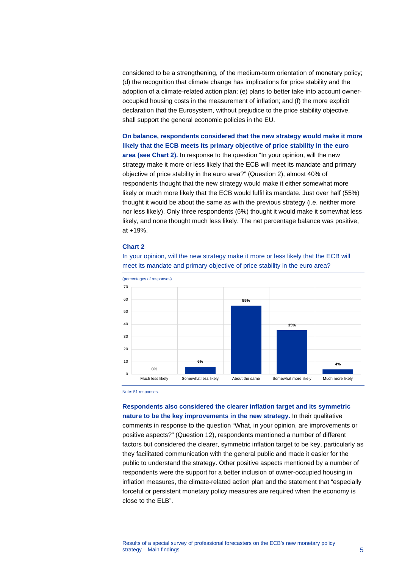considered to be a strengthening, of the medium-term orientation of monetary policy; (d) the recognition that climate change has implications for price stability and the adoption of a climate-related action plan; (e) plans to better take into account owneroccupied housing costs in the measurement of inflation; and (f) the more explicit declaration that the Eurosystem, without prejudice to the price stability objective, shall support the general economic policies in the EU.

**On balance, respondents considered that the new strategy would make it more likely that the ECB meets its primary objective of price stability in the euro area (see Chart 2).** In response to the question "In your opinion, will the new strategy make it more or less likely that the ECB will meet its mandate and primary objective of price stability in the euro area?" (Question 2), almost 40% of respondents thought that the new strategy would make it either somewhat more likely or much more likely that the ECB would fulfil its mandate. Just over half (55%) thought it would be about the same as with the previous strategy (i.e. neither more nor less likely). Only three respondents (6%) thought it would make it somewhat less likely, and none thought much less likely. The net percentage balance was positive, at +19%.

#### **Chart 2**



In your opinion, will the new strategy make it more or less likely that the ECB will meet its mandate and primary objective of price stability in the euro area?

Note: 51 responses.

**Respondents also considered the clearer inflation target and its symmetric nature to be the key improvements in the new strategy.** In their qualitative comments in response to the question "What, in your opinion, are improvements or positive aspects?" (Question 12), respondents mentioned a number of different factors but considered the clearer, symmetric inflation target to be key, particularly as they facilitated communication with the general public and made it easier for the public to understand the strategy. Other positive aspects mentioned by a number of respondents were the support for a better inclusion of owner-occupied housing in inflation measures, the climate-related action plan and the statement that "especially forceful or persistent monetary policy measures are required when the economy is close to the ELB".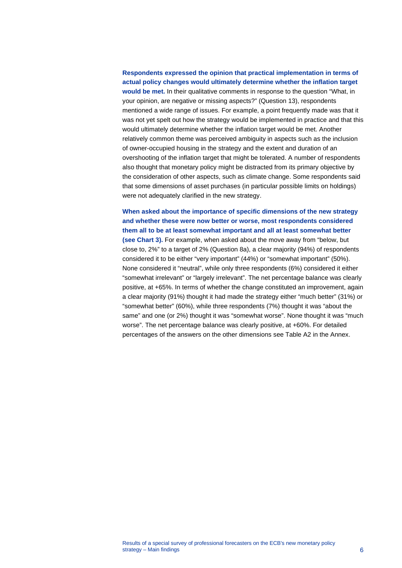## **Respondents expressed the opinion that practical implementation in terms of actual policy changes would ultimately determine whether the inflation target would be met.** In their qualitative comments in response to the question "What, in your opinion, are negative or missing aspects?" (Question 13), respondents mentioned a wide range of issues. For example, a point frequently made was that it was not yet spelt out how the strategy would be implemented in practice and that this would ultimately determine whether the inflation target would be met. Another relatively common theme was perceived ambiguity in aspects such as the inclusion of owner-occupied housing in the strategy and the extent and duration of an overshooting of the inflation target that might be tolerated. A number of respondents also thought that monetary policy might be distracted from its primary objective by the consideration of other aspects, such as climate change. Some respondents said that some dimensions of asset purchases (in particular possible limits on holdings) were not adequately clarified in the new strategy.

**When asked about the importance of specific dimensions of the new strategy and whether these were now better or worse, most respondents considered them all to be at least somewhat important and all at least somewhat better (see Chart 3).** For example, when asked about the move away from "below, but close to, 2%" to a target of 2% (Question 8a), a clear majority (94%) of respondents considered it to be either "very important" (44%) or "somewhat important" (50%). None considered it "neutral", while only three respondents (6%) considered it either "somewhat irrelevant" or "largely irrelevant". The net percentage balance was clearly positive, at +65%. In terms of whether the change constituted an improvement, again a clear majority (91%) thought it had made the strategy either "much better" (31%) or "somewhat better" (60%), while three respondents (7%) thought it was "about the same" and one (or 2%) thought it was "somewhat worse". None thought it was "much worse". The net percentage balance was clearly positive, at +60%. For detailed percentages of the answers on the other dimensions see Table A2 in the Annex.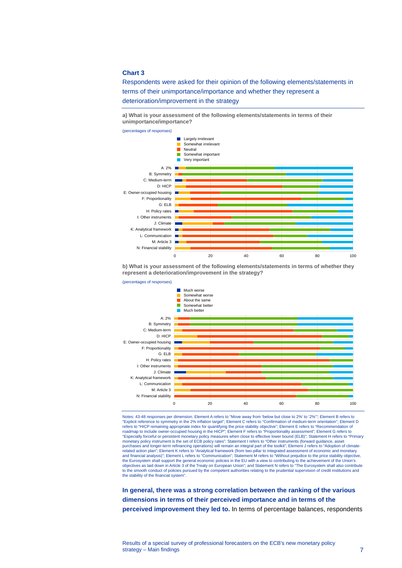#### **Chart 3**

Respondents were asked for their opinion of the following elements/statements in terms of their unimportance/importance and whether they represent a deterioration/improvement in the strategy

**a) What is your assessment of the following elements/statements in terms of their unimportance/importance?**

(percentages of responses)



**b) What is your assessment of the following elements/statements in terms of whether they represent a deterioration/improvement in the strategy?**



Notes: 43-48 responses per dimension. Element A refers to "Move away from 'below but close to 2%' to '2%'"; Element B refers to "Explicit reference to symmetry in the 2% inflation target"; Element C refers to "Confirmation of medium-term orientation"; Element D<br>refers to "HICP remaining appropriate index for quantifying the price stability objectiv roadmap to include owner-occupied housing in the HICP"; Element F refers to "Proportionality assessment"; Element G refers to "Especially forceful or persistent monetary policy measures when close to effective lower bound (ELB)"; Statement H refers to "Primary<br>monetary policy instrument is the set of ECB policy rates"; Statement I refers to "Othe purchases and longer-term refinancing operations) will remain an integral part of the toolkit"; Element J refers to "Adoption of climate-<br>related action plan"; Element K refers to "Analytical framework (from two-pillar to and financial analysis)"; Element L refers to "Communication"; Statement M refers to "Without prejudice to the price stability objective, the Eurosystem shall support the general economic policies in the EU with a view to contributing to the achievement of the Union's<br>objectives as laid down in Article 3 of the Treaty on European Union"; and Statement N refe to the smooth conduct of policies pursued by the competent authorities relating to the prudential supervision of credit institutions and the stability of the financial system".

**In general, there was a strong correlation between the ranking of the various dimensions in terms of their perceived importance and in terms of the perceived improvement they led to.** In terms of percentage balances, respondents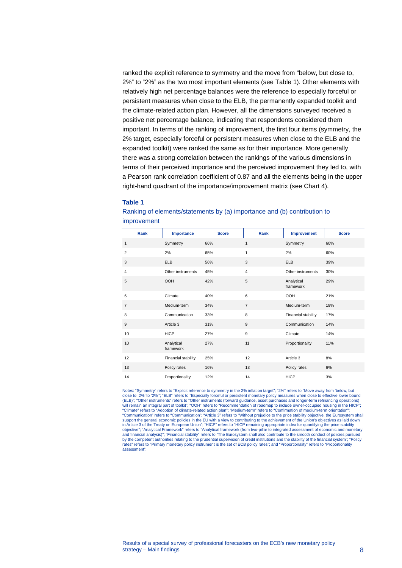ranked the explicit reference to symmetry and the move from "below, but close to, 2%" to "2%" as the two most important elements (see Table 1). Other elements with relatively high net percentage balances were the reference to especially forceful or persistent measures when close to the ELB, the permanently expanded toolkit and the climate-related action plan. However, all the dimensions surveyed received a positive net percentage balance, indicating that respondents considered them important. In terms of the ranking of improvement, the first four items (symmetry, the 2% target, especially forceful or persistent measures when close to the ELB and the expanded toolkit) were ranked the same as for their importance. More generally there was a strong correlation between the rankings of the various dimensions in terms of their perceived importance and the perceived improvement they led to, with a Pearson rank correlation coefficient of 0.87 and all the elements being in the upper right-hand quadrant of the importance/improvement matrix (see Chart 4).

#### **Table 1**

| Rank           | Importance              | <b>Score</b> | <b>Rank</b>    | Improvement             | <b>Score</b> |
|----------------|-------------------------|--------------|----------------|-------------------------|--------------|
| 1              | Symmetry                | 66%          | 1              | Symmetry                | 60%          |
| $\overline{2}$ | 2%                      | 65%          | $\mathbf{1}$   | 2%                      | 60%          |
| 3              | <b>ELB</b>              | 56%          | 3              | <b>ELB</b>              | 39%          |
| 4              | Other instruments       | 45%          | $\overline{4}$ | Other instruments       | 30%          |
| 5              | <b>OOH</b>              | 42%          | 5              | Analytical<br>framework | 29%          |
| 6              | Climate                 | 40%          | 6              | <b>OOH</b>              | 21%          |
| $\overline{7}$ | Medium-term             | 34%          | $\overline{7}$ | Medium-term             | 19%          |
| 8              | Communication           | 33%          | 8              | Financial stability     | 17%          |
| 9              | Article 3               | 31%          | 9              | Communication           | 14%          |
| 10             | <b>HICP</b>             | 27%          | 9              | Climate                 | 14%          |
| 10             | Analytical<br>framework | 27%          | 11             | Proportionality         | 11%          |
| 12             | Financial stability     | 25%          | 12             | Article 3               | 8%           |
| 13             | Policy rates            | 16%          | 13             | Policy rates            | 6%           |
| 14             | Proportionality         | 12%          | 14             | <b>HICP</b>             | 3%           |

Ranking of elements/statements by (a) importance and (b) contribution to improvement

Notes: "Symmetry" refers to "Explicit reference to symmetry in the 2% inflation target"; "2%" refers to "Move away from 'below, but<br>close to, 2%' to '2%'"; "ELB" refers to "Especially forceful or persistent monetary policy (ELB)"; "Other instruments" refers to "Other instruments (forward guidance, asset purchases and longer-term refinancing operations) will remain an integral part of toolkit"; "OOH" refers to "Recommendation of roadmap to include owner-occupied housing in the HICP"; "Climate" refers to "Adoption of climate-related action plan"; "Medium-term" refers to "Confirmation of medium-term orientation";<br>"Communication" refers to "Communication"; "Article 3" refers to "Without prejudice to the p support the general economic policies in the EU with a view to contributing to the achievement of the Union's objectives as laid down<br>in Article 3 of the Treaty on European Union"; "HICP" refers to "HICP remaining appropr and financial analysis)"; "Financial stability" refers to "The Eurosystem shall also contribute to the smooth conduct of policies pursued<br>by the competent authorities relating to the prudential supervision of credit instit rates" refers to "Primary monetary policy instrument is the set of ECB policy rates"; and "Proportionality" refers to "Proportionality assessment".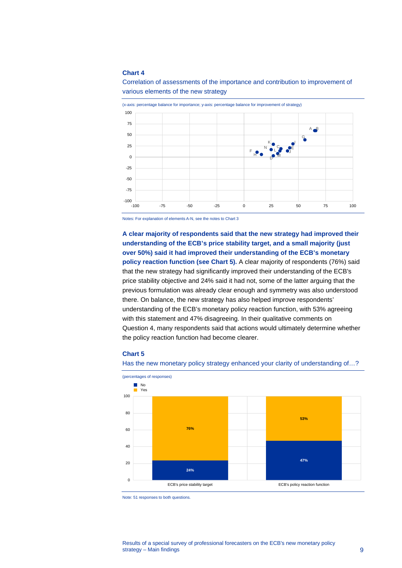#### **Chart 4**



Correlation of assessments of the importance and contribution to improvement of various elements of the new strategy

Notes: For explanation of elements A-N, see the notes to Chart 3

**A clear majority of respondents said that the new strategy had improved their understanding of the ECB's price stability target, and a small majority (just over 50%) said it had improved their understanding of the ECB's monetary policy reaction function (see Chart 5).** A clear majority of respondents (76%) said that the new strategy had significantly improved their understanding of the ECB's price stability objective and 24% said it had not, some of the latter arguing that the previous formulation was already clear enough and symmetry was also understood there. On balance, the new strategy has also helped improve respondents' understanding of the ECB's monetary policy reaction function, with 53% agreeing with this statement and 47% disagreeing. In their qualitative comments on Question 4, many respondents said that actions would ultimately determine whether the policy reaction function had become clearer.

#### **Chart 5**

Has the new monetary policy strategy enhanced your clarity of understanding of...?



Note: 51 responses to both questions.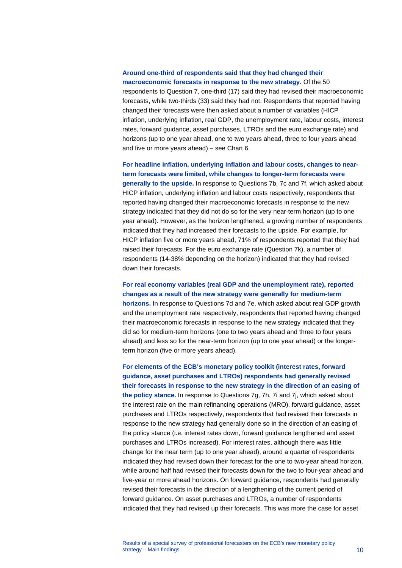## **Around one-third of respondents said that they had changed their**

**macroeconomic forecasts in response to the new strategy.** Of the 50 respondents to Question 7, one-third (17) said they had revised their macroeconomic forecasts, while two-thirds (33) said they had not. Respondents that reported having changed their forecasts were then asked about a number of variables (HICP inflation, underlying inflation, real GDP, the unemployment rate, labour costs, interest rates, forward guidance, asset purchases, LTROs and the euro exchange rate) and horizons (up to one year ahead, one to two years ahead, three to four years ahead and five or more years ahead) – see Chart 6.

**For headline inflation, underlying inflation and labour costs, changes to nearterm forecasts were limited, while changes to longer-term forecasts were generally to the upside.** In response to Questions 7b, 7c and 7f, which asked about HICP inflation, underlying inflation and labour costs respectively, respondents that reported having changed their macroeconomic forecasts in response to the new strategy indicated that they did not do so for the very near-term horizon (up to one year ahead). However, as the horizon lengthened, a growing number of respondents indicated that they had increased their forecasts to the upside. For example, for HICP inflation five or more years ahead, 71% of respondents reported that they had raised their forecasts. For the euro exchange rate (Question 7k), a number of respondents (14-38% depending on the horizon) indicated that they had revised down their forecasts.

**For real economy variables (real GDP and the unemployment rate), reported changes as a result of the new strategy were generally for medium-term horizons.** In response to Questions 7d and 7e, which asked about real GDP growth and the unemployment rate respectively, respondents that reported having changed their macroeconomic forecasts in response to the new strategy indicated that they did so for medium-term horizons (one to two years ahead and three to four years ahead) and less so for the near-term horizon (up to one year ahead) or the longerterm horizon (five or more years ahead).

**For elements of the ECB's monetary policy toolkit (interest rates, forward guidance, asset purchases and LTROs) respondents had generally revised their forecasts in response to the new strategy in the direction of an easing of the policy stance.** In response to Questions 7g, 7h, 7i and 7j, which asked about the interest rate on the main refinancing operations (MRO), forward guidance, asset purchases and LTROs respectively, respondents that had revised their forecasts in response to the new strategy had generally done so in the direction of an easing of the policy stance (i.e. interest rates down, forward guidance lengthened and asset purchases and LTROs increased). For interest rates, although there was little change for the near term (up to one year ahead), around a quarter of respondents indicated they had revised down their forecast for the one to two-year ahead horizon, while around half had revised their forecasts down for the two to four-year ahead and five-year or more ahead horizons. On forward guidance, respondents had generally revised their forecasts in the direction of a lengthening of the current period of forward guidance. On asset purchases and LTROs, a number of respondents indicated that they had revised up their forecasts. This was more the case for asset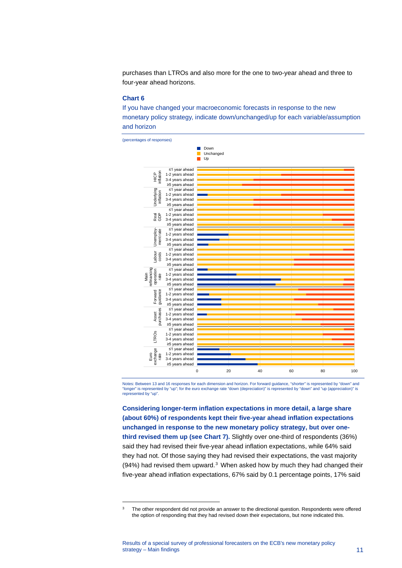purchases than LTROs and also more for the one to two-year ahead and three to four-year ahead horizons.

#### **Chart 6**

If you have changed your macroeconomic forecasts in response to the new monetary policy strategy, indicate down/unchanged/up for each variable/assumption and horizon



Notes: Between 13 and 16 responses for each dimension and horizon. For forward guidance, "shorter" is represented by "down" and<br>"longer" is represented by "up"; for the euro exchange rate "down (depreciation)" is represent "longer" is represented by "up"; for the euro exchange rate "down (depreciation)" is represented by "down" and "up (app represented by "up"

**Considering longer-term inflation expectations in more detail, a large share (about 60%) of respondents kept their five-year ahead inflation expectations unchanged in response to the new monetary policy strategy, but over onethird revised them up (see Chart 7).** Slightly over one-third of respondents (36%) said they had revised their five-year ahead inflation expectations, while 64% said they had not. Of those saying they had revised their expectations, the vast majority  $(94%)$  had revised them upward.<sup>[3](#page-11-0)</sup> When asked how by much they had changed their five-year ahead inflation expectations, 67% said by 0.1 percentage points, 17% said

<span id="page-11-0"></span><sup>&</sup>lt;sup>3</sup> The other respondent did not provide an answer to the directional question. Respondents were offered the option of responding that they had revised down their expectations, but none indicated this.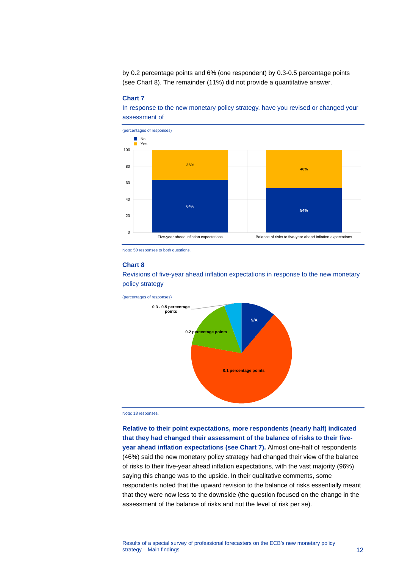by 0.2 percentage points and 6% (one respondent) by 0.3-0.5 percentage points (see Chart 8). The remainder (11%) did not provide a quantitative answer.

#### **Chart 7**

In response to the new monetary policy strategy, have you revised or changed your assessment of



Note: 50 responses to both questions.

#### **Chart 8**

Revisions of five-year ahead inflation expectations in response to the new monetary policy strategy



Note: 18 responses.

**Relative to their point expectations, more respondents (nearly half) indicated that they had changed their assessment of the balance of risks to their fiveyear ahead inflation expectations (see Chart 7).** Almost one-half of respondents (46%) said the new monetary policy strategy had changed their view of the balance of risks to their five-year ahead inflation expectations, with the vast majority (96%) saying this change was to the upside. In their qualitative comments, some respondents noted that the upward revision to the balance of risks essentially meant that they were now less to the downside (the question focused on the change in the assessment of the balance of risks and not the level of risk per se).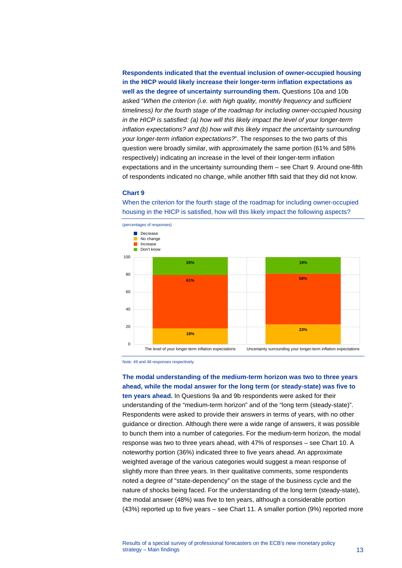**Respondents indicated that the eventual inclusion of owner-occupied housing in the HICP would likely increase their longer-term inflation expectations as well as the degree of uncertainty surrounding them.** Questions 10a and 10b asked "*When the criterion (i.e. with high quality, monthly frequency and sufficient timeliness) for the fourth stage of the roadmap for including owner-occupied housing in the HICP is satisfied: (a) how will this likely impact the level of your longer-term inflation expectations? and (b) how will this likely impact the uncertainty surrounding your longer-term inflation expectations?*". The responses to the two parts of this question were broadly similar, with approximately the same portion (61% and 58% respectively) indicating an increase in the level of their longer-term inflation expectations and in the uncertainty surrounding them – see Chart 9. Around one-fifth of respondents indicated no change, while another fifth said that they did not know.

#### **Chart 9**

When the criterion for the fourth stage of the roadmap for including owner-occupied housing in the HICP is satisfied, how will this likely impact the following aspects?



Note: 49 and 48 responses respectively.

**The modal understanding of the medium-term horizon was two to three years ahead, while the modal answer for the long term (or steady-state) was five to** 

**ten years ahead.** In Questions 9a and 9b respondents were asked for their understanding of the "medium-term horizon" and of the "long term (steady-state)". Respondents were asked to provide their answers in terms of years, with no other guidance or direction. Although there were a wide range of answers, it was possible to bunch them into a number of categories. For the medium-term horizon, the modal response was two to three years ahead, with 47% of responses – see Chart 10. A noteworthy portion (36%) indicated three to five years ahead. An approximate weighted average of the various categories would suggest a mean response of slightly more than three years. In their qualitative comments, some respondents noted a degree of "state-dependency" on the stage of the business cycle and the nature of shocks being faced. For the understanding of the long term (steady-state), the modal answer (48%) was five to ten years, although a considerable portion (43%) reported up to five years – see Chart 11. A smaller portion (9%) reported more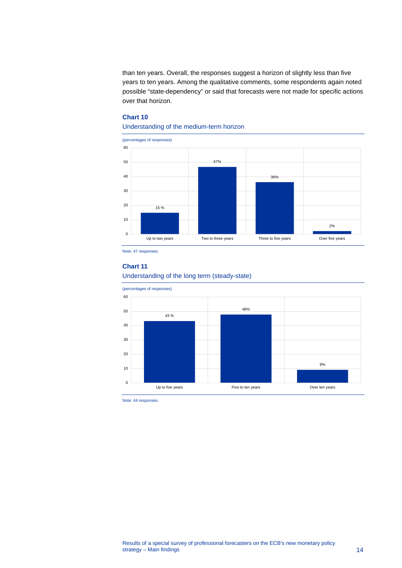than ten years. Overall, the responses suggest a horizon of slightly less than five years to ten years. Among the qualitative comments, some respondents again noted possible "state-dependency" or said that forecasts were not made for specific actions over that horizon.

## **Chart 10**

## Understanding of the medium-term horizon



Note: 47 responses.

#### **Chart 11**

## Understanding of the long term (steady-state)



Note: 44 responses.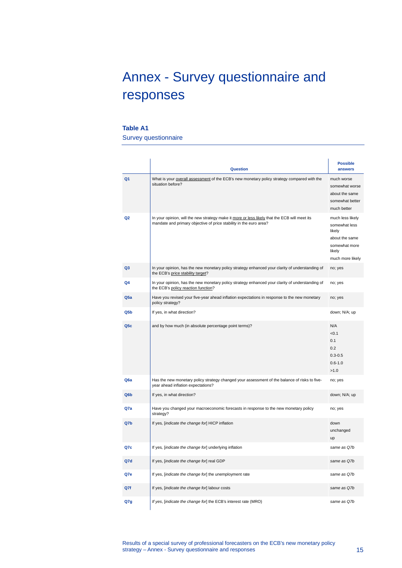# <span id="page-15-0"></span>Annex - Survey questionnaire and responses

### **Table A1**

Survey questionnaire

|                  | <b>Question</b>                                                                                                                                                     | <b>Possible</b><br>answers                                                                                   |
|------------------|---------------------------------------------------------------------------------------------------------------------------------------------------------------------|--------------------------------------------------------------------------------------------------------------|
| Q <sub>1</sub>   | What is your overall assessment of the ECB's new monetary policy strategy compared with the<br>situation before?                                                    | much worse<br>somewhat worse<br>about the same<br>somewhat better<br>much better                             |
| Q <sub>2</sub>   | In your opinion, will the new strategy make it more or less likely that the ECB will meet its<br>mandate and primary objective of price stability in the euro area? | much less likely<br>somewhat less<br>likely<br>about the same<br>somewhat more<br>likely<br>much more likely |
| Q3               | In your opinion, has the new monetary policy strategy enhanced your clarity of understanding of<br>the ECB's price stability target?                                | no; yes                                                                                                      |
| Q4               | In your opinion, has the new monetary policy strategy enhanced your clarity of understanding of<br>the ECB's policy reaction function?                              | no; yes                                                                                                      |
| Q5a              | Have you revised your five-year ahead inflation expectations in response to the new monetary<br>policy strategy?                                                    | no; yes                                                                                                      |
| Q5 <sub>b</sub>  | If yes, in what direction?                                                                                                                                          | down; N/A; up                                                                                                |
| Q <sub>5c</sub>  | and by how much (in absolute percentage point terms)?                                                                                                               | N/A<br>< 0.1<br>0.1<br>0.2<br>$0.3 - 0.5$<br>$0.6 - 1.0$<br>>1.0                                             |
| Q <sub>6</sub> a | Has the new monetary policy strategy changed your assessment of the balance of risks to five-<br>year ahead inflation expectations?                                 | no; yes                                                                                                      |
| Q6b              | If yes, in what direction?                                                                                                                                          | down; N/A; up                                                                                                |
| Q7a              | Have you changed your macroeconomic forecasts in response to the new monetary policy<br>strategy?                                                                   | no; yes                                                                                                      |
| Q7b              | If yes, [indicate the change for] HICP inflation                                                                                                                    | down<br>unchanged<br>up                                                                                      |
| Q7c              | If yes, [indicate the change for] underlying inflation                                                                                                              | same as O7b                                                                                                  |
| Q7d              | If yes, [indicate the change for] real GDP                                                                                                                          | same as Q7b                                                                                                  |
| Q7e              | If yes, [indicate the change for] the unemployment rate                                                                                                             | same as Q7b                                                                                                  |
| Q7f              | If yes, [indicate the change for] labour costs                                                                                                                      | same as Q7b                                                                                                  |
| Q7g              | If yes, [indicate the change for] the ECB's interest rate (MRO)                                                                                                     | same as Q7b                                                                                                  |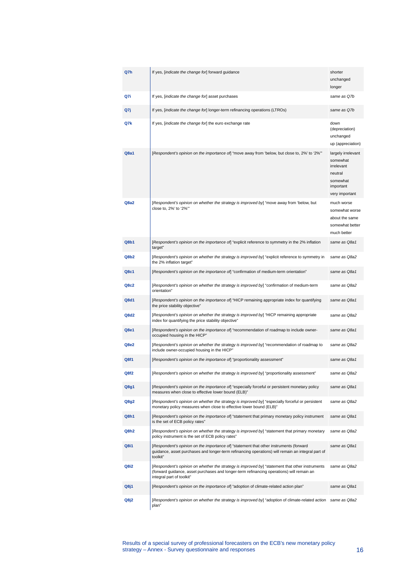| Q7h  | If yes, [indicate the change for] forward guidance                                                                                                                                                                        | shorter<br>unchanged<br>longer                                                                     |
|------|---------------------------------------------------------------------------------------------------------------------------------------------------------------------------------------------------------------------------|----------------------------------------------------------------------------------------------------|
| Q7i  | If yes, [indicate the change for] asset purchases                                                                                                                                                                         | same as Q7b                                                                                        |
| Q7j  | If yes, [indicate the change for] longer-term refinancing operations (LTROs)                                                                                                                                              | same as Q7b                                                                                        |
| Q7k  | If yes, [indicate the change for] the euro exchange rate                                                                                                                                                                  | down<br>(depreciation)<br>unchanged<br>up (appreciation)                                           |
| Q8a1 | [Respondent's opinion on the importance of] "move away from 'below, but close to, 2%' to '2%"                                                                                                                             | largely irrelevant<br>somewhat<br>irrelevant<br>neutral<br>somewhat<br>important<br>very important |
| Q8a2 | [Respondent's opinion on whether the strategy is improved by] "move away from 'below, but<br>close to, 2%' to '2%"                                                                                                        | much worse<br>somewhat worse<br>about the same<br>somewhat better<br>much better                   |
| Q8b1 | [Respondent's opinion on the importance of] "explicit reference to symmetry in the 2% inflation<br>target"                                                                                                                | same as Q8a1                                                                                       |
| Q8b2 | [Respondent's opinion on whether the strategy is improved by] "explicit reference to symmetry in<br>the 2% inflation target"                                                                                              | same as Q8a2                                                                                       |
| Q8c1 | [Respondent's opinion on the importance of] "confirmation of medium-term orientation"                                                                                                                                     | same as Q8a1                                                                                       |
| Q8c2 | [Respondent's opinion on whether the strategy is improved by] "confirmation of medium-term<br>orientation"                                                                                                                | same as Q8a2                                                                                       |
| Q8d1 | [Respondent's opinion on the importance of] "HICP remaining appropriate index for quantifying<br>the price stability objective"                                                                                           | same as Q8a1                                                                                       |
| Q8d2 | [Respondent's opinion on whether the strategy is improved by] "HICP remaining appropriate<br>index for quantifying the price stability objective"                                                                         | same as Q8a2                                                                                       |
| Q8e1 | [Respondent's opinion on the importance of] "recommendation of roadmap to include owner-<br>occupied housing in the HICP"                                                                                                 | same as Q8a1                                                                                       |
| Q8e2 | [Respondent's opinion on whether the strategy is improved by] "recommendation of roadmap to<br>include owner-occupied housing in the HICP"                                                                                | same as Q8a2                                                                                       |
| Q8f1 | [Respondent's opinion on the importance of] "proportionality assessment"                                                                                                                                                  | same as Q8a1                                                                                       |
| Q8f2 | [Respondent's opinion on whether the strategy is improved by] "proportionality assessment"                                                                                                                                | same as Q8a2                                                                                       |
| Q8g1 | [Respondent's opinion on the importance of] "especially forceful or persistent monetary policy<br>measures when close to effective lower bound (ELB)"                                                                     | same as Q8a1                                                                                       |
| Q8g2 | [Respondent's opinion on whether the strategy is improved by] "especially forceful or persistent<br>monetary policy measures when close to effective lower bound (ELB)"                                                   | same as Q8a2                                                                                       |
| Q8h1 | [Respondent's opinion on the importance of] "statement that primary monetary policy instrument<br>is the set of ECB policy rates"                                                                                         | same as Q8a1                                                                                       |
| Q8h2 | [Respondent's opinion on whether the strategy is improved by] "statement that primary monetary<br>policy instrument is the set of ECB policy rates"                                                                       | same as Q8a2                                                                                       |
| Q8i1 | [Respondent's opinion on the importance of] "statement that other instruments (forward<br>quidance, asset purchases and longer-term refinancing operations) will remain an integral part of<br>toolkit"                   | same as Q8a1                                                                                       |
| Q8i2 | [Respondent's opinion on whether the strategy is improved by] "statement that other instruments<br>(forward guidance, asset purchases and longer-term refinancing operations) will remain an<br>integral part of toolkit" | same as Q8a2                                                                                       |
| Q8j1 | [Respondent's opinion on the importance of] "adoption of climate-related action plan"                                                                                                                                     | same as Q8a1                                                                                       |
| Q8j2 | [Respondent's opinion on whether the strategy is improved by] "adoption of climate-related action<br>plan"                                                                                                                | same as Q8a2                                                                                       |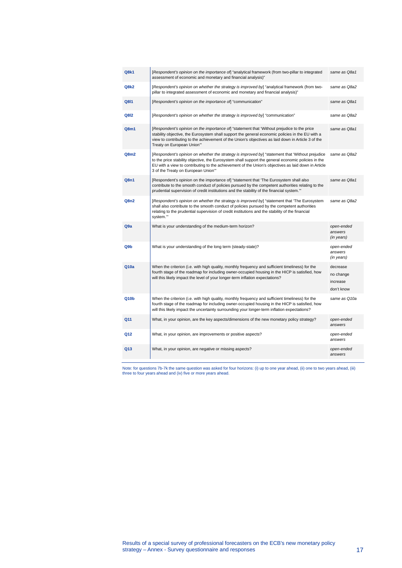| Q8k1            | [Respondent's opinion on the importance of] "analytical framework (from two-pillar to integrated<br>assessment of economic and monetary and financial analysis)"                                                                                                                                                                                     | same as Q8a1                                    |
|-----------------|------------------------------------------------------------------------------------------------------------------------------------------------------------------------------------------------------------------------------------------------------------------------------------------------------------------------------------------------------|-------------------------------------------------|
| Q8k2            | [Respondent's opinion on whether the strategy is improved by] "analytical framework (from two-<br>pillar to integrated assessment of economic and monetary and financial analysis)"                                                                                                                                                                  | same as Q8a2                                    |
| Q811            | [Respondent's opinion on the importance of] "communication"                                                                                                                                                                                                                                                                                          | same as Q8a1                                    |
| Q812            | [Respondent's opinion on whether the strategy is improved by] "communication"                                                                                                                                                                                                                                                                        | same as Q8a2                                    |
| Q8m1            | [Respondent's opinion on the importance of] "statement that 'Without prejudice to the price<br>stability objective, the Eurosystem shall support the general economic policies in the EU with a<br>view to contributing to the achievement of the Union's objectives as laid down in Article 3 of the<br>Treaty on European Union"                   | same as Q8a1                                    |
| Q8m2            | [Respondent's opinion on whether the strategy is improved by] "statement that 'Without prejudice<br>to the price stability objective, the Eurosystem shall support the general economic policies in the<br>EU with a view to contributing to the achievement of the Union's objectives as laid down in Article<br>3 of the Treaty on European Union" | same as Q8a2                                    |
| Q8n1            | [Respondent's opinion on the importance of] "statement that 'The Eurosystem shall also<br>contribute to the smooth conduct of policies pursued by the competent authorities relating to the<br>prudential supervision of credit institutions and the stability of the financial system."                                                             | same as Q8a1                                    |
| Q8n2            | [Respondent's opinion on whether the strategy is improved by] "statement that 'The Eurosystem<br>shall also contribute to the smooth conduct of policies pursued by the competent authorities<br>relating to the prudential supervision of credit institutions and the stability of the financial<br>system.""                                       | same as Q8a2                                    |
| Q <sub>9a</sub> | What is your understanding of the medium-term horizon?                                                                                                                                                                                                                                                                                               | open-ended<br>answers<br>(in years)             |
| Q9b             | What is your understanding of the long term (steady-state)?                                                                                                                                                                                                                                                                                          | open-ended<br>answers<br>(in years)             |
| Q10a            | When the criterion (i.e. with high quality, monthly frequency and sufficient timeliness) for the<br>fourth stage of the roadmap for including owner-occupied housing in the HICP is satisfied, how<br>will this likely impact the level of your longer-term inflation expectations?                                                                  | decrease<br>no change<br>increase<br>don't know |
| Q10b            | When the criterion (i.e. with high quality, monthly frequency and sufficient timeliness) for the<br>fourth stage of the roadmap for including owner-occupied housing in the HICP is satisfied, how<br>will this likely impact the uncertainty surrounding your longer-term inflation expectations?                                                   | same as Q10a                                    |
| Q11             | What, in your opinion, are the key aspects/dimensions of the new monetary policy strategy?                                                                                                                                                                                                                                                           | open-ended<br>answers                           |
| Q12             | What, in your opinion, are improvements or positive aspects?                                                                                                                                                                                                                                                                                         | open-ended<br>answers                           |
| Q13             | What, in your opinion, are negative or missing aspects?                                                                                                                                                                                                                                                                                              | open-ended<br>answers                           |
|                 |                                                                                                                                                                                                                                                                                                                                                      |                                                 |

Note: for questions 7b-7k the same question was asked for four horizons: (i) up to one year ahead, (ii) one to two years ahead, (iii) three to four years ahead and (iv) five or more years ahead.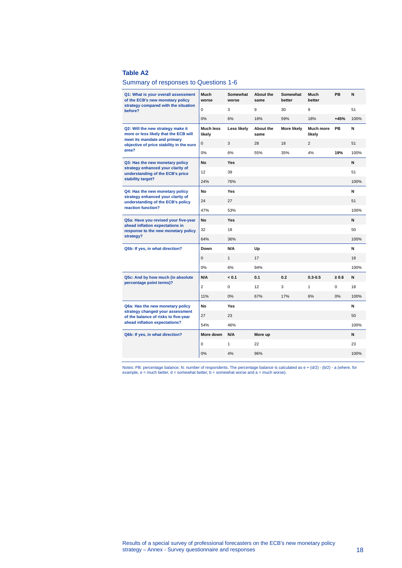### **Table A2**

### Summary of responses to Questions 1-6

| Q1: What is your overall assessment<br>of the ECB's new monetary policy                                  | Much<br>worse       | Somewhat<br>worse | <b>About the</b><br>same | Somewhat<br>better | Much<br>better      | PB         | N    |
|----------------------------------------------------------------------------------------------------------|---------------------|-------------------|--------------------------|--------------------|---------------------|------------|------|
| strategy compared with the situation<br>before?                                                          | $\mathbf 0$         | 3                 | 9                        | 30                 | 9                   |            | 51   |
|                                                                                                          | 0%                  | 6%                | 18%                      | 59%                | 18%                 | $+45%$     | 100% |
| Q2: Will the new strategy make it<br>more or less likely that the ECB will                               | Much less<br>likely | Less likely       | <b>About the</b><br>same | <b>More likely</b> | Much more<br>likely | PB         | N    |
| meet its mandate and primary<br>objective of price stability in the euro                                 | 0                   | 3                 | 28                       | 18                 | $\overline{2}$      |            | 51   |
| area?                                                                                                    | 0%                  | 6%                | 55%                      | 35%                | 4%                  | 19%        | 100% |
| Q3: Has the new monetary policy<br>strategy enhanced your clarity of<br>understanding of the ECB's price | No                  | Yes               |                          |                    |                     |            | N    |
|                                                                                                          | 12                  | 39                |                          |                    |                     |            | 51   |
| stability target?                                                                                        | 24%                 | 76%               |                          |                    |                     |            | 100% |
| Q4: Has the new monetary policy                                                                          | <b>No</b>           | Yes               |                          |                    |                     |            | N    |
| strategy enhanced your clarity of<br>understanding of the ECB's policy                                   | 24                  | 27                |                          |                    |                     |            | 51   |
| reaction function?                                                                                       | 47%                 | 53%               |                          |                    |                     |            | 100% |
| Q5a: Have you revised your five-year                                                                     | <b>No</b>           | <b>Yes</b>        |                          |                    |                     |            | N    |
| ahead inflation expectations in<br>response to the new monetary policy                                   | 32                  | 18                |                          |                    |                     |            | 50   |
| strategy?                                                                                                | 64%                 | 36%               |                          |                    |                     |            | 100% |
| Q5b: If yes, in what direction?                                                                          | Down                | N/A               | Up                       |                    |                     |            | N    |
|                                                                                                          | $\mathbf 0$         | $\mathbf{1}$      | 17                       |                    |                     |            | 18   |
|                                                                                                          | 0%                  | 6%                | 94%                      |                    |                     |            | 100% |
| Q5c: And by how much (in absolute                                                                        | N/A                 | < 0.1             | 0.1                      | 0.2                | $0.3 - 0.5$         | $\geq 0.6$ | N    |
| percentage point terms)?                                                                                 | $\overline{2}$      | $\mathbf 0$       | 12                       | 3                  | $\mathbf{1}$        | 0          | 18   |
|                                                                                                          | 11%                 | 0%                | 67%                      | 17%                | 6%                  | 0%         | 100% |
| Q6a: Has the new monetary policy                                                                         | <b>No</b>           | Yes               |                          |                    |                     |            | N    |
| strategy changed your assessment<br>of the balance of risks to five-year                                 | 27                  | 23                |                          |                    |                     |            | 50   |
| ahead inflation expectations?                                                                            | 54%                 | 46%               |                          |                    |                     |            | 100% |
| Q6b: If yes, in what direction?                                                                          | More down           | N/A               | More up                  |                    |                     |            | N    |
|                                                                                                          | 0                   | 1                 | 22                       |                    |                     |            | 23   |
|                                                                                                          | 0%                  | 4%                | 96%                      |                    |                     |            | 100% |
|                                                                                                          |                     |                   |                          |                    |                     |            |      |

Notes: PB: percentage balance; N: number of respondents. The percentage balance is calculated as e + (d/2) - (b/2) - a (where, for<br>example, e = much better, d = somewhat better, b = somewhat worse and a = much worse).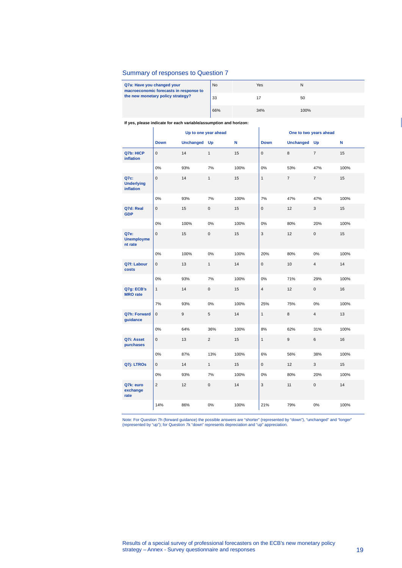### Summary of responses to Question 7

| Q7a: Have you changed your<br>macroeconomic forecasts in response to | <b>No</b> | Yes | N    |
|----------------------------------------------------------------------|-----------|-----|------|
| the new monetary policy strategy?                                    | 33        |     | 50   |
|                                                                      | 66%       | 34% | 100% |

#### **If yes, please indicate for each variable/assumption and horizon:**

|                                               |                |              | Up to one year ahead |      | One to two years ahead |                |                |      |
|-----------------------------------------------|----------------|--------------|----------------------|------|------------------------|----------------|----------------|------|
|                                               | <b>Down</b>    | Unchanged Up |                      | N    | <b>Down</b>            | Unchanged Up   |                | N    |
| Q7b: HICP<br>inflation                        | $\mathbf 0$    | 14           | $\mathbf{1}$         | 15   | $\mathbf{0}$           | 8              | $\overline{7}$ | 15   |
|                                               | 0%             | 93%          | 7%                   | 100% | 0%                     | 53%            | 47%            | 100% |
| Q7c:<br><b>Underlying</b><br><b>inflation</b> | $\mathbf 0$    | 14           | $\mathbf{1}$         | 15   | $\mathbf{1}$           | $\overline{7}$ | $\overline{7}$ | 15   |
|                                               | 0%             | 93%          | 7%                   | 100% | 7%                     | 47%            | 47%            | 100% |
| Q7d: Real<br><b>GDP</b>                       | $\pmb{0}$      | 15           | $\mathbf 0$          | 15   | $\mathbf 0$            | 12             | 3              | 15   |
|                                               | 0%             | 100%         | 0%                   | 100% | 0%                     | 80%            | 20%            | 100% |
| Q7e:<br><b>Unemployme</b><br>nt rate          | $\pmb{0}$      | 15           | $\pmb{0}$            | 15   | 3                      | 12             | $\pmb{0}$      | 15   |
|                                               | 0%             | 100%         | 0%                   | 100% | 20%                    | 80%            | 0%             | 100% |
| Q7f: Labour<br>costs                          | $\pmb{0}$      | 13           | $\mathbf{1}$         | 14   | $\mathsf 0$            | 10             | $\overline{4}$ | 14   |
|                                               | 0%             | 93%          | 7%                   | 100% | 0%                     | 71%            | 29%            | 100% |
| Q7g: ECB's<br><b>MRO</b> rate                 | $\mathbf{1}$   | 14           | $\mathbf 0$          | 15   | $\overline{4}$         | 12             | $\mathbf 0$    | 16   |
|                                               | 7%             | 93%          | 0%                   | 100% | 25%                    | 75%            | 0%             | 100% |
| Q7h: Forward<br>guidance                      | $\mathbf{0}$   | 9            | 5                    | 14   | $\mathbf{1}$           | 8              | $\overline{4}$ | 13   |
|                                               | 0%             | 64%          | 36%                  | 100% | 8%                     | 62%            | 31%            | 100% |
| Q7i: Asset<br>purchases                       | $\mathbf 0$    | 13           | $\overline{2}$       | 15   | $\mathbf{1}$           | 9              | 6              | 16   |
|                                               | 0%             | 87%          | 13%                  | 100% | 6%                     | 56%            | 38%            | 100% |
| Q7j: LTROs                                    | $\mathbf 0$    | 14           | $\mathbf{1}$         | 15   | $\mathbf{0}$           | 12             | 3              | 15   |
|                                               | 0%             | 93%          | 7%                   | 100% | $0\%$                  | 80%            | 20%            | 100% |
| Q7k: euro<br>exchange<br>rate                 | $\overline{2}$ | 12           | $\mathbf 0$          | 14   | 3                      | 11             | $\mathbf{0}$   | 14   |
|                                               | 14%            | 86%          | 0%                   | 100% | 21%                    | 79%            | 0%             | 100% |

Note: For Question 7h (forward guidance) the possible answers are "shorter" (represented by "down"), "unchanged" and "longer"<br>(represented by "up"); for Question 7k "down" represents depreciation and "up" appreciation.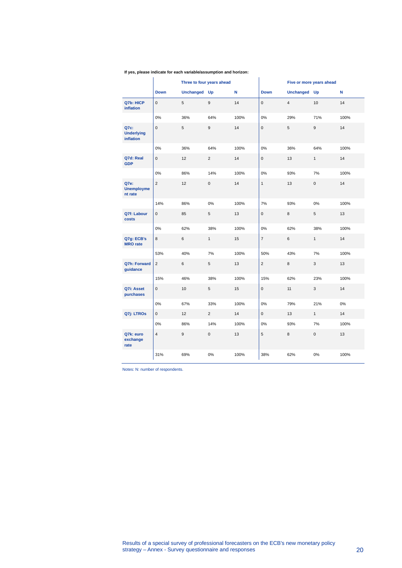## **If yes, please indicate for each variable/assumption and horizon:**

|                                        |                     |              | Three to four years ahead |      |                |                | Five or more years ahead |      |
|----------------------------------------|---------------------|--------------|---------------------------|------|----------------|----------------|--------------------------|------|
|                                        | <b>Down</b>         | Unchanged Up |                           | N    | <b>Down</b>    | Unchanged Up   |                          | N    |
| Q7b: HICP<br>inflation                 | $\mathsf{O}\xspace$ | 5            | 9                         | 14   | $\mathbf 0$    | $\overline{4}$ | 10                       | 14   |
|                                        | 0%                  | 36%          | 64%                       | 100% | 0%             | 29%            | 71%                      | 100% |
| Q7c:<br><b>Underlying</b><br>inflation | $\mathsf 0$         | 5            | 9                         | 14   | $\mathbf 0$    | 5              | 9                        | 14   |
|                                        | 0%                  | 36%          | 64%                       | 100% | 0%             | 36%            | 64%                      | 100% |
| Q7d: Real<br><b>GDP</b>                | $\mathsf 0$         | 12           | $\overline{2}$            | 14   | $\mathbf 0$    | 13             | $\mathbf{1}$             | 14   |
|                                        | 0%                  | 86%          | 14%                       | 100% | 0%             | 93%            | 7%                       | 100% |
| Q7e:<br><b>Unemployme</b><br>nt rate   | $\overline{2}$      | 12           | $\mathbf 0$               | 14   | $\mathbf{1}$   | 13             | $\mathbf 0$              | 14   |
|                                        | 14%                 | 86%          | 0%                        | 100% | 7%             | 93%            | 0%                       | 100% |
| Q7f: Labour<br>costs                   | $\mathbf{0}$        | 85           | 5                         | 13   | $\mathbf{0}$   | 8              | 5                        | 13   |
|                                        | 0%                  | 62%          | 38%                       | 100% | $0\%$          | 62%            | 38%                      | 100% |
| Q7g: ECB's<br><b>MRO</b> rate          | 8                   | 6            | 1                         | 15   | $\overline{7}$ | 6              | $\mathbf{1}$             | 14   |
|                                        | 53%                 | 40%          | 7%                        | 100% | 50%            | 43%            | 7%                       | 100% |
| <b>Q7h: Forward</b><br>guidance        | $\overline{2}$      | 6            | 5                         | 13   | $\overline{2}$ | 8              | 3                        | 13   |
|                                        | 15%                 | 46%          | 38%                       | 100% | 15%            | 62%            | 23%                      | 100% |
| Q7i: Asset<br>purchases                | $\mathsf 0$         | 10           | 5                         | 15   | $\pmb{0}$      | 11             | 3                        | 14   |
|                                        | 0%                  | 67%          | 33%                       | 100% | 0%             | 79%            | 21%                      | 0%   |
| Q7j: LTROs                             | $\mathbf{0}$        | 12           | $\overline{2}$            | 14   | $\mathbf{0}$   | 13             | $\mathbf{1}$             | 14   |
|                                        | 0%                  | 86%          | 14%                       | 100% | $0\%$          | 93%            | 7%                       | 100% |
| Q7k: euro<br>exchange<br>rate          | $\overline{4}$      | 9            | $\mathbf{0}$              | 13   | 5              | 8              | $\mathbf 0$              | 13   |
|                                        | 31%                 | 69%          | 0%                        | 100% | 38%            | 62%            | 0%                       | 100% |

i.

Notes: N: number of respondents.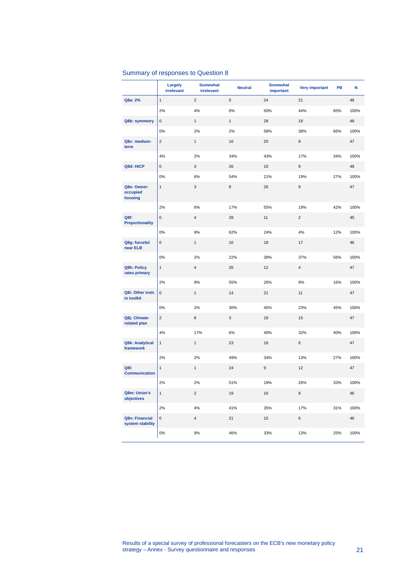## Summary of responses to Question 8

|                                     | Largely<br>irrelevant | <b>Somewhat</b><br>irrelevant | <b>Neutral</b> | <b>Somewhat</b><br>important | <b>Very important</b> | PB  | N    |
|-------------------------------------|-----------------------|-------------------------------|----------------|------------------------------|-----------------------|-----|------|
| Q8a: 2%                             | $\mathbf{1}$          | $\overline{2}$                | $\pmb{0}$      | 24                           | 21                    |     | 48   |
|                                     | 2%                    | 4%                            | 0%             | 50%                          | 44%                   | 65% | 100% |
| Q8b: symmetry                       | 0                     | $\mathbf{1}$                  | 1              | 28                           | 18                    |     | 48   |
|                                     | 0%                    | 2%                            | 2%             | 58%                          | 38%                   | 66% | 100% |
| Q8c: medium-<br>term                | $\overline{2}$        | $\mathbf{1}$                  | 16             | 20                           | 8                     |     | 47   |
|                                     | 4%                    | 2%                            | 34%            | 43%                          | 17%                   | 34% | 100% |
| Q8d: HICP                           | $\mathsf 0$           | 3                             | 26             | 10                           | 9                     |     | 48   |
|                                     | 0%                    | 6%                            | 54%            | 21%                          | 19%                   | 27% | 100% |
| Q8e: Owner-<br>occupied<br>housing  | $\mathbf{1}$          | 3                             | 8              | 26                           | $\mathsf g$           |     | 47   |
|                                     | 2%                    | 6%                            | 17%            | 55%                          | 19%                   | 42% | 100% |
| Q8f:<br><b>Proportionality</b>      | $\pmb{0}$             | 4                             | 28             | 11                           | $\overline{c}$        |     | 45   |
|                                     | 0%                    | 9%                            | 62%            | 24%                          | 4%                    | 12% | 100% |
| Q8g: forceful<br>near ELB           | 0                     | $\mathbf{1}$                  | 10             | 18                           | 17                    |     | 46   |
|                                     | 0%                    | 2%                            | 22%            | 39%                          | 37%                   | 56% | 100% |
| Q8h: Policy<br>rates primary        | $\mathbf{1}$          | $\overline{\mathbf{4}}$       | 26             | 12                           | $\overline{4}$        |     | 47   |
|                                     | 2%                    | 9%                            | 55%            | 26%                          | 9%                    | 16% | 100% |
| Q8i: Other instr.<br>in toolkit     | $\mathbf 0$           | $\mathbf{1}$                  | 14             | 21                           | 11                    |     | 47   |
|                                     | $0\%$                 | 2%                            | 30%            | 45%                          | 23%                   | 45% | 100% |
| Q8j: Climate-<br>related plan       | $\overline{2}$        | 8                             | 3              | 19                           | 15                    |     | 47   |
|                                     | 4%                    | 17%                           | 6%             | 40%                          | 32%                   | 40% | 100% |
| <b>Q8k: Analytical</b><br>framework | $\mathbf{1}$          | $\mathbf{1}$                  | 23             | 16                           | $\,6$                 |     | 47   |
|                                     | 2%                    | 2%                            | 49%            | 34%                          | 13%                   | 27% | 100% |
| Q8I:<br><b>Communication</b>        | $\mathbf{1}$          | $\mathbf{1}$                  | 24             | 9                            | 12                    |     | 47   |
|                                     | 2%                    | 2%                            | 51%            | 19%                          | 26%                   | 33% | 100% |
| Q8m: Union's<br>objectives          | $\mathbf{1}$          | $\overline{c}$                | 19             | 16                           | 8                     |     | 46   |
|                                     | 2%                    | 4%                            | 41%            | 35%                          | 17%                   | 31% | 100% |
| Q8n: Financial<br>system stability  | 0                     | $\overline{\mathbf{4}}$       | 21             | 15                           | 6                     |     | 46   |
|                                     | $0\%$                 | $9%$                          | 46%            | 33%                          | 13%                   | 25% | 100% |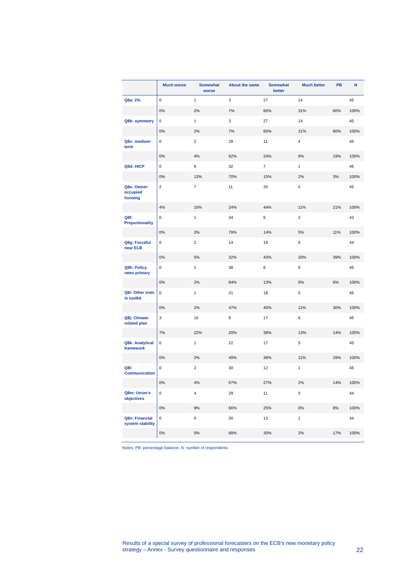|                                     | <b>Much worse</b> | <b>Somewhat</b><br>worse | <b>About the same</b> | <b>Somewhat</b><br>better | <b>Much better</b> | PB  | N    |
|-------------------------------------|-------------------|--------------------------|-----------------------|---------------------------|--------------------|-----|------|
| Q8a: 2%                             | $\pmb{0}$         | $\mathbf{1}$             | 3                     | 27                        | 14                 |     | 45   |
|                                     | 0%                | 2%                       | 7%                    | 60%                       | 31%                | 60% | 100% |
| Q8b: symmetry                       | 0                 | $\mathbf{1}$             | 3                     | 27                        | 14                 |     | 45   |
|                                     | $0\%$             | 2%                       | 7%                    | 60%                       | 31%                | 60% | 100% |
| Q8c: medium-<br>term                | 0                 | $\overline{2}$           | 28                    | 11                        | 4                  |     | 45   |
|                                     | $0\%$             | $4\%$                    | 62%                   | 24%                       | 9%                 | 19% | 100% |
| Q8d: HICP                           | 0                 | 6                        | 32                    | $\overline{7}$            | $\mathbf{1}$       |     | 46   |
|                                     | $0\%$             | 13%                      | 70%                   | 15%                       | 2%                 | 3%  | 100% |
| Q8e: Owner-<br>occupied<br>housing  | $\overline{2}$    | $\overline{7}$           | 11                    | 20                        | 5                  |     | 45   |
|                                     | 4%                | 16%                      | 24%                   | 44%                       | 11%                | 21% | 100% |
| Q8f:<br><b>Proportionality</b>      | $\mathsf 0$       | $\mathbf{1}$             | 34                    | 6                         | $\overline{2}$     |     | 43   |
|                                     | $0\%$             | 2%                       | 79%                   | 14%                       | 5%                 | 11% | 100% |
| Q8g: Forceful<br>near ELB           | 0                 | $\overline{2}$           | 14                    | 19                        | 9                  |     | 44   |
|                                     | $0\%$             | 5%                       | 32%                   | 43%                       | 20%                | 39% | 100% |
| Q8h: Policy<br>rates primary        | 0                 | $\mathbf{1}$             | 38                    | 6                         | 0                  |     | 45   |
|                                     | $0\%$             | 2%                       | 84%                   | 13%                       | 0%                 | 6%  | 100% |
| Q8i: Other instr.<br>in toolkit     | 0                 | $\mathbf{1}$             | 21                    | 18                        | 5                  |     | 45   |
|                                     | 0%                | 2%                       | 47%                   | 40%                       | 11%                | 30% | 100% |
| Q8j: Climate-<br>related plan       | 3                 | 10                       | 9                     | 17                        | 6                  |     | 45   |
|                                     | 7%                | 22%                      | 20%                   | 38%                       | 13%                | 14% | 100% |
| <b>Q8k: Analytical</b><br>framework | 0                 | 1                        | 22                    | 17                        | 5                  |     | 45   |
|                                     | 0%                | 2%                       | 49%                   | 38%                       | 11%                | 29% | 100% |
| Q8I:<br><b>Communication</b>        | $\pmb{0}$         | $\overline{2}$           | 30                    | 12                        | $\mathbf{1}$       |     | 45   |
|                                     | $0\%$             | 4%                       | 67%                   | 27%                       | 2%                 | 14% | 100% |
| Q8m: Union's<br>objectives          | 0                 | 4                        | 29                    | 11                        | 0                  |     | 44   |
|                                     | $0\%$             | 9%                       | 66%                   | 25%                       | $0\%$              | 8%  | 100% |
| Q8n: Financial<br>system stability  | 0                 | 0                        | 30                    | 13                        | $\mathbf{1}$       |     | 44   |
|                                     | $0\%$             | $0\%$                    | 68%                   | 30%                       | 2%                 | 17% | 100% |

Notes: PB: percentage balance; N: number of respondents.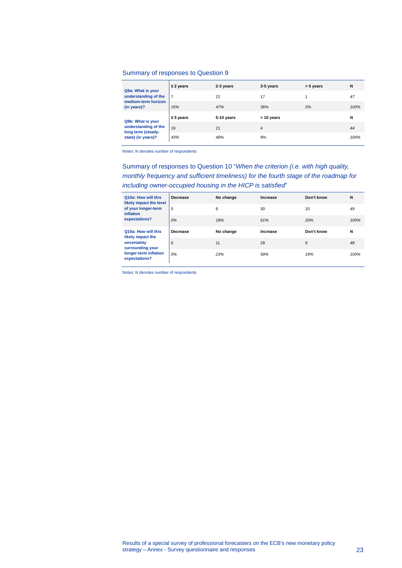### Summary of responses to Question 9

| Q9a: What is your<br>understanding of the | $\leq$ 2 years | 2-3 years  | 3-5 years  | > 5 years | N    |
|-------------------------------------------|----------------|------------|------------|-----------|------|
|                                           | $\overline{7}$ | 22         | 17         |           | 47   |
| medium-term horizon<br>(in years)?        | 15%            | 47%        | 36%        | 2%        | 100% |
|                                           | $\leq 5$ years | 5-10 years | > 10 years |           | N    |
|                                           |                |            |            |           |      |
| Q9b: What is your<br>understanding of the | 19             | 21         | 4          |           | 44   |
| long term (steady-<br>state) (in years)?  | 43%            | 48%        | 9%         |           | 100% |

Notes: N denotes number of respondents

Summary of responses to Question 10 "*When the criterion (i.e. with high quality, monthly frequency and sufficient timeliness) for the fourth stage of the roadmap for including owner-occupied housing in the HICP is satisfied*"

| Q10a: How will this<br>likely impact the level<br>of your longer-term<br>inflation<br>expectations? | Decrease    | No change | Increase | Don't know | N    |
|-----------------------------------------------------------------------------------------------------|-------------|-----------|----------|------------|------|
|                                                                                                     | $\Omega$    | 9         | 30       | 10         | 49   |
|                                                                                                     | 0%          | 18%       | 61%      | 20%        | 100% |
| Q10a: How will this                                                                                 |             |           |          |            |      |
|                                                                                                     | Decrease    | No change | Increase | Don't know | N    |
| likely impact the<br>uncertainty<br>surrounding your                                                | $\mathbf 0$ | 11        | 28       | 9          | 48   |

Notes: N denotes number of respondents